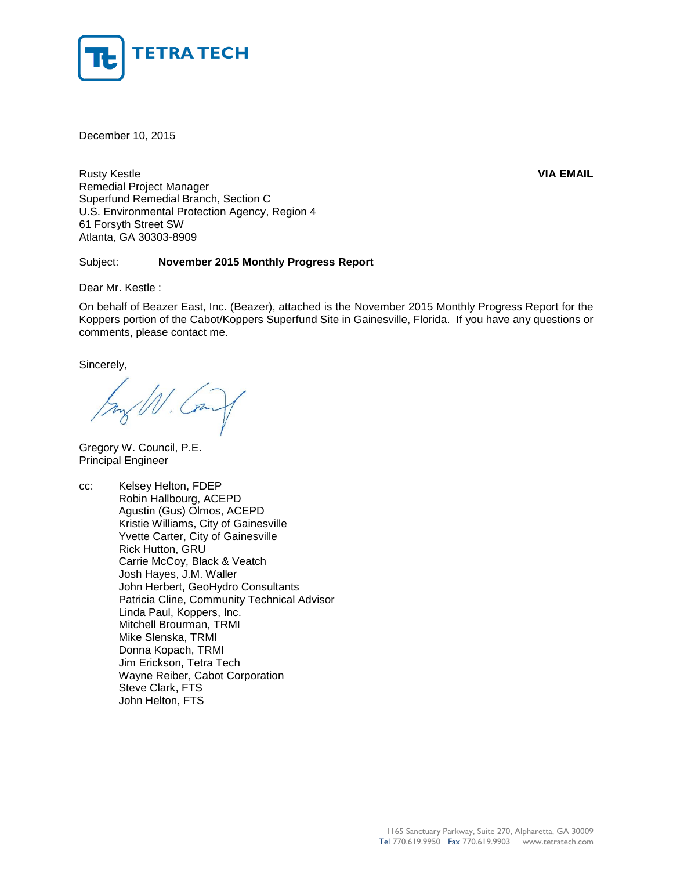

December 10, 2015

Rusty Kestle **VIA EMAIL** Remedial Project Manager Superfund Remedial Branch, Section C U.S. Environmental Protection Agency, Region 4 61 Forsyth Street SW Atlanta, GA 30303-8909

# Subject: **November 2015 Monthly Progress Report**

Dear Mr. Kestle :

On behalf of Beazer East, Inc. (Beazer), attached is the November 2015 Monthly Progress Report for the Koppers portion of the Cabot/Koppers Superfund Site in Gainesville, Florida. If you have any questions or comments, please contact me.

Sincerely,

Gregory W. Council, P.E. Principal Engineer

cc: Kelsey Helton, FDEP Robin Hallbourg, ACEPD Agustin (Gus) Olmos, ACEPD Kristie Williams, City of Gainesville Yvette Carter, City of Gainesville Rick Hutton, GRU Carrie McCoy, Black & Veatch Josh Hayes, J.M. Waller John Herbert, GeoHydro Consultants Patricia Cline, Community Technical Advisor Linda Paul, Koppers, Inc. Mitchell Brourman, TRMI Mike Slenska, TRMI Donna Kopach, TRMI Jim Erickson, Tetra Tech Wayne Reiber, Cabot Corporation Steve Clark, FTS John Helton, FTS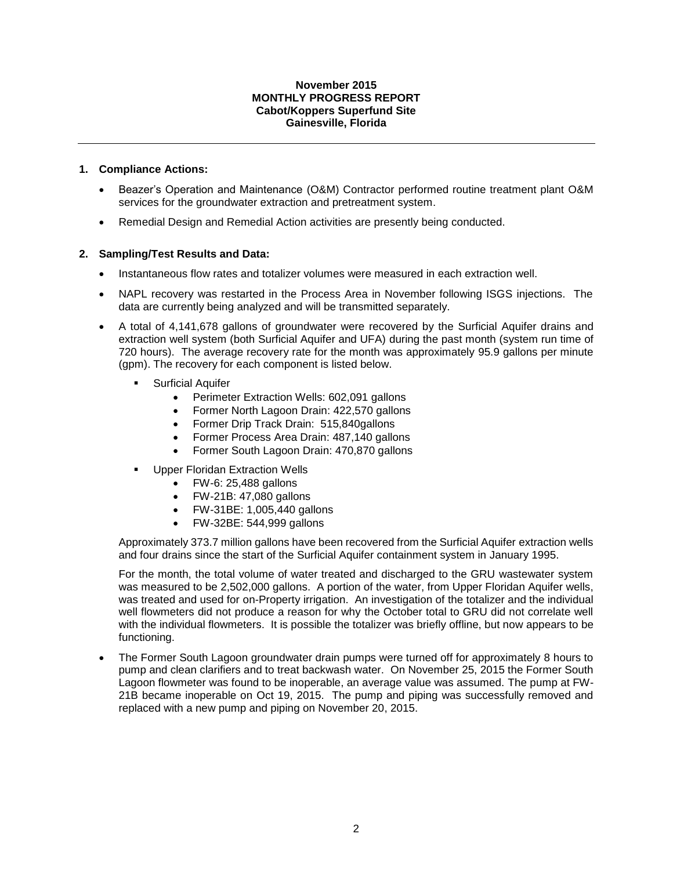## **November 2015 MONTHLY PROGRESS REPORT Cabot/Koppers Superfund Site Gainesville, Florida**

# **1. Compliance Actions:**

- Beazer's Operation and Maintenance (O&M) Contractor performed routine treatment plant O&M services for the groundwater extraction and pretreatment system.
- Remedial Design and Remedial Action activities are presently being conducted.

# **2. Sampling/Test Results and Data:**

- Instantaneous flow rates and totalizer volumes were measured in each extraction well.
- NAPL recovery was restarted in the Process Area in November following ISGS injections. The data are currently being analyzed and will be transmitted separately.
- A total of 4,141,678 gallons of groundwater were recovered by the Surficial Aquifer drains and extraction well system (both Surficial Aquifer and UFA) during the past month (system run time of 720 hours). The average recovery rate for the month was approximately 95.9 gallons per minute (gpm). The recovery for each component is listed below.
	- Surficial Aquifer
		- Perimeter Extraction Wells: 602,091 gallons
		- Former North Lagoon Drain: 422,570 gallons
		- Former Drip Track Drain: 515,840gallons
		- Former Process Area Drain: 487,140 gallons
		- Former South Lagoon Drain: 470,870 gallons
		- Upper Floridan Extraction Wells
			- FW-6: 25,488 gallons
			- FW-21B: 47,080 gallons
			- FW-31BE: 1,005,440 gallons
			- FW-32BE: 544,999 gallons

Approximately 373.7 million gallons have been recovered from the Surficial Aquifer extraction wells and four drains since the start of the Surficial Aquifer containment system in January 1995.

For the month, the total volume of water treated and discharged to the GRU wastewater system was measured to be 2,502,000 gallons. A portion of the water, from Upper Floridan Aquifer wells, was treated and used for on-Property irrigation. An investigation of the totalizer and the individual well flowmeters did not produce a reason for why the October total to GRU did not correlate well with the individual flowmeters. It is possible the totalizer was briefly offline, but now appears to be functioning.

 The Former South Lagoon groundwater drain pumps were turned off for approximately 8 hours to pump and clean clarifiers and to treat backwash water. On November 25, 2015 the Former South Lagoon flowmeter was found to be inoperable, an average value was assumed. The pump at FW-21B became inoperable on Oct 19, 2015. The pump and piping was successfully removed and replaced with a new pump and piping on November 20, 2015.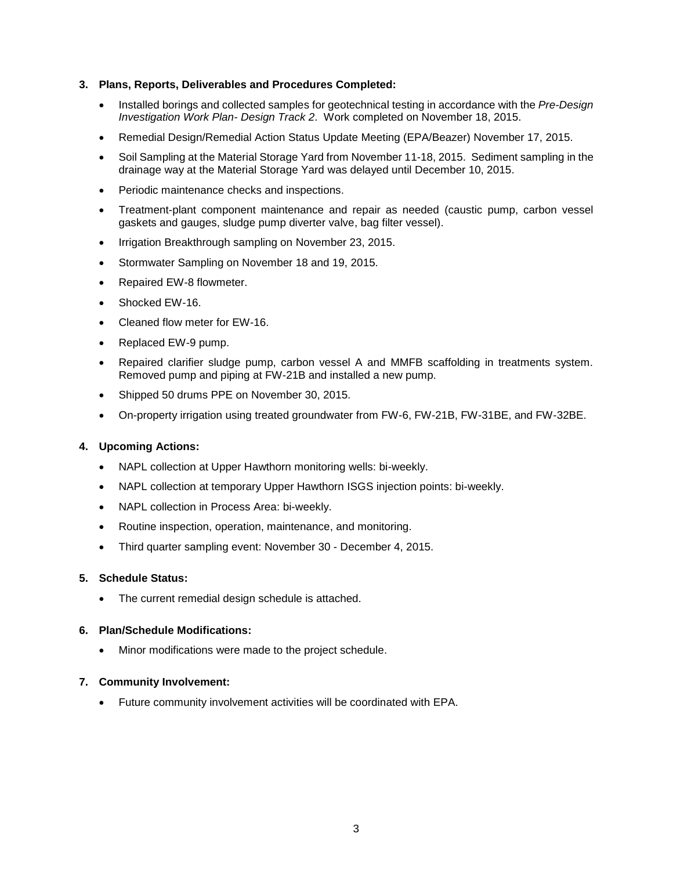## **3. Plans, Reports, Deliverables and Procedures Completed:**

- Installed borings and collected samples for geotechnical testing in accordance with the *Pre-Design Investigation Work Plan- Design Track 2*. Work completed on November 18, 2015.
- Remedial Design/Remedial Action Status Update Meeting (EPA/Beazer) November 17, 2015.
- Soil Sampling at the Material Storage Yard from November 11-18, 2015. Sediment sampling in the drainage way at the Material Storage Yard was delayed until December 10, 2015.
- Periodic maintenance checks and inspections.
- Treatment-plant component maintenance and repair as needed (caustic pump, carbon vessel gaskets and gauges, sludge pump diverter valve, bag filter vessel).
- Irrigation Breakthrough sampling on November 23, 2015.
- Stormwater Sampling on November 18 and 19, 2015.
- Repaired EW-8 flowmeter.
- Shocked EW-16.
- Cleaned flow meter for EW-16.
- Replaced EW-9 pump.
- Repaired clarifier sludge pump, carbon vessel A and MMFB scaffolding in treatments system. Removed pump and piping at FW-21B and installed a new pump.
- Shipped 50 drums PPE on November 30, 2015.
- On-property irrigation using treated groundwater from FW-6, FW-21B, FW-31BE, and FW-32BE.

## **4. Upcoming Actions:**

- NAPL collection at Upper Hawthorn monitoring wells: bi-weekly.
- NAPL collection at temporary Upper Hawthorn ISGS injection points: bi-weekly.
- NAPL collection in Process Area: bi-weekly.
- Routine inspection, operation, maintenance, and monitoring.
- Third quarter sampling event: November 30 December 4, 2015.

## **5. Schedule Status:**

• The current remedial design schedule is attached.

## **6. Plan/Schedule Modifications:**

Minor modifications were made to the project schedule.

## **7. Community Involvement:**

Future community involvement activities will be coordinated with EPA.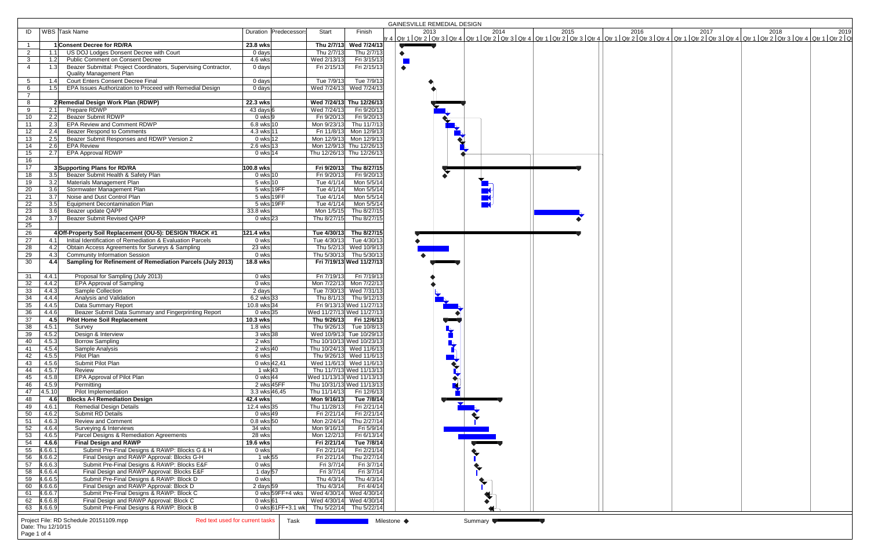|                                         |                                                                                                                                   |                                           |                             |                                                       | <b>GAINESVILLE REMEDIAL DESIGN</b>                                                                                                                                        |  |  |  |  |  |
|-----------------------------------------|-----------------------------------------------------------------------------------------------------------------------------------|-------------------------------------------|-----------------------------|-------------------------------------------------------|---------------------------------------------------------------------------------------------------------------------------------------------------------------------------|--|--|--|--|--|
| ID                                      | WBS Task Name                                                                                                                     | Duration Predecessors                     | Start                       | Finish                                                | 2019 2013 2014 2015 2016 2017 2017 2018 2018 2018 2019<br>tr 4 Qtr 1   Qtr 2   Qtr 3   Qtr 4   Qtr 1   Qtr 2   Qtr 3   Qtr 1   Qtr 2   Qtr 3   Qtr 4   Qtr 1   Qtr 2   Qt |  |  |  |  |  |
|                                         | 1 Consent Decree for RD/RA                                                                                                        | 23.8 wks                                  |                             | Thu 2/7/13 Wed 7/24/13                                |                                                                                                                                                                           |  |  |  |  |  |
| $\overline{2}$<br>1.1                   | US DOJ Lodges Donsent Decree with Court                                                                                           | 0 days                                    | Thu 2/7/13                  | Thu 2/7/13                                            |                                                                                                                                                                           |  |  |  |  |  |
| $\mathbf{3}$<br>1.2                     | <b>Public Comment on Consent Decree</b>                                                                                           | 4.6 wks                                   | Wed 2/13/13                 | Fri 3/15/13                                           |                                                                                                                                                                           |  |  |  |  |  |
| $\overline{4}$<br>1.3                   | Beazer Submittal: Project Coordinators, Supervising Contractor,<br>Quality Management Plan                                        | $0$ days                                  | Fri 2/15/13                 | Fri 2/15/13                                           | $\bullet$                                                                                                                                                                 |  |  |  |  |  |
| 5 <sup>5</sup><br>1.4                   | <b>Court Enters Consent Decree Final</b>                                                                                          | $\overline{0}$ days                       | Tue 7/9/13                  | Tue 7/9/13                                            |                                                                                                                                                                           |  |  |  |  |  |
| 1.5<br>6                                | EPA Issues Authorization to Proceed with Remedial Design                                                                          | 0 days                                    |                             | Wed 7/24/13 Wed 7/24/13                               |                                                                                                                                                                           |  |  |  |  |  |
| $7^{\circ}$                             |                                                                                                                                   |                                           |                             |                                                       |                                                                                                                                                                           |  |  |  |  |  |
| 8                                       | 2 Remedial Design Work Plan (RDWP)<br>Prepare RDWP                                                                                | 22.3 wks<br>43 days 6                     | Wed 7/24/13                 | Wed 7/24/13 Thu 12/26/13<br>Fri 9/20/13               |                                                                                                                                                                           |  |  |  |  |  |
| 9<br>10                                 | 2.1<br><b>Beazer Submit RDWP</b><br>2.2                                                                                           | 0 wks 9                                   | Fri 9/20/13                 | Fri 9/20/13                                           |                                                                                                                                                                           |  |  |  |  |  |
| 11<br>2.3                               | <b>EPA Review and Comment RDWP</b>                                                                                                | 6.8 wks 10                                | Mon 9/23/13                 | Thu 11/7/13                                           |                                                                                                                                                                           |  |  |  |  |  |
| 12<br>2.4                               | <b>Beazer Respond to Comments</b>                                                                                                 | 4.3 wks 11                                | Fri 11/8/13                 | Mon 12/9/13                                           |                                                                                                                                                                           |  |  |  |  |  |
| 13<br>2.5                               | Beazer Submit Responses and RDWP Version 2                                                                                        | 0 wks 12                                  |                             | Mon 12/9/13 Mon 12/9/13                               |                                                                                                                                                                           |  |  |  |  |  |
| 14<br>2.6                               | <b>EPA Review</b>                                                                                                                 | $2.6$ wks 13                              |                             | Mon 12/9/13 Thu 12/26/13                              |                                                                                                                                                                           |  |  |  |  |  |
| 15<br>2.7                               | <b>EPA Approval RDWP</b>                                                                                                          | 0 wks 14                                  |                             | Thu 12/26/13 Thu 12/26/13                             |                                                                                                                                                                           |  |  |  |  |  |
| 16                                      |                                                                                                                                   |                                           |                             |                                                       |                                                                                                                                                                           |  |  |  |  |  |
| 17                                      | 3 Supporting Plans for RD/RA                                                                                                      | 100.8 wks                                 | Fri 9/20/13                 | Thu 8/27/15                                           |                                                                                                                                                                           |  |  |  |  |  |
| 18                                      | Beazer Submit Health & Safety Plan<br>3.5                                                                                         | 0 wks 10                                  | Fri 9/20/13                 | Fri 9/20/13                                           |                                                                                                                                                                           |  |  |  |  |  |
| 19<br>3.6                               | Materials Management Plan<br>3.2<br>Stormwater Management Plan                                                                    | 5 wks 10<br>5 wks 19FF                    | Tue 4/1/14<br>Tue 4/1/14    | Mon 5/5/14<br>Mon 5/5/14                              |                                                                                                                                                                           |  |  |  |  |  |
| 20<br>21<br>3.7                         | Noise and Dust Control Plan                                                                                                       | 5 wks 19FF                                | Tue 4/1/14                  | Mon 5/5/14                                            |                                                                                                                                                                           |  |  |  |  |  |
| $\overline{22}$<br>3.5                  | <b>Equipment Decontamination Plan</b>                                                                                             | 5 wks 19FF                                | Tue 4/1/14                  | Mon 5/5/14                                            |                                                                                                                                                                           |  |  |  |  |  |
| 23<br>3.6                               | Beazer update QAPP                                                                                                                | 33.8 wks                                  | Mon 1/5/15                  | Thu 8/27/15                                           |                                                                                                                                                                           |  |  |  |  |  |
| 24<br>3.7                               | <b>Beazer Submit Revised QAPP</b>                                                                                                 | $0$ wks 23                                | Thu 8/27/15                 | Thu 8/27/15                                           |                                                                                                                                                                           |  |  |  |  |  |
| $\overline{25}$                         |                                                                                                                                   |                                           |                             |                                                       |                                                                                                                                                                           |  |  |  |  |  |
| $\overline{26}$                         | 4 Off-Property Soil Replacement (OU-5): DESIGN TRACK #1                                                                           | 121.4 wks                                 |                             | Tue 4/30/13 Thu 8/27/15                               |                                                                                                                                                                           |  |  |  |  |  |
| 27                                      | Initial Identification of Remediation & Evaluation Parcels<br>4.1                                                                 | 0 wks                                     | Tue 4/30/13                 | Tue 4/30/13                                           |                                                                                                                                                                           |  |  |  |  |  |
| $\overline{28}$                         | Obtain Access Agreements for Surveys & Sampling<br>4.2                                                                            | 23 wks                                    |                             | Thu 5/2/13 Wed 10/9/13                                |                                                                                                                                                                           |  |  |  |  |  |
| 29<br>4.3                               | <b>Community Information Session</b>                                                                                              | 0 wks                                     |                             | Thu 5/30/13 Thu 5/30/13                               |                                                                                                                                                                           |  |  |  |  |  |
| 30<br>4.4                               | Sampling for Refinement of Remediation Parcels (July 2013)                                                                        | 18.8 wks                                  |                             | Fri 7/19/13 Wed 11/27/13                              |                                                                                                                                                                           |  |  |  |  |  |
| 31<br>4.4.1                             | Proposal for Sampling (July 2013)                                                                                                 | 0 wks                                     | Fri 7/19/13                 | Fri 7/19/13                                           |                                                                                                                                                                           |  |  |  |  |  |
| 32<br>4.4.2                             | <b>EPA Approval of Sampling</b>                                                                                                   | $0$ wks                                   | Mon 7/22/13                 | Mon 7/22/13                                           |                                                                                                                                                                           |  |  |  |  |  |
| $\overline{33}$<br>4.4.3                | Sample Collection                                                                                                                 | 2 days                                    |                             | Tue 7/30/13 Wed 7/31/13                               |                                                                                                                                                                           |  |  |  |  |  |
| 34<br>4.4.4                             | Analysis and Validation                                                                                                           | $6.2$ wks 33                              |                             | Thu 8/1/13 Thu 9/12/13                                |                                                                                                                                                                           |  |  |  |  |  |
| 35<br>4.4.5                             | Data Summary Report                                                                                                               | 10.8 wks 34                               |                             | Fri 9/13/13 Wed 11/27/13                              |                                                                                                                                                                           |  |  |  |  |  |
| $\overline{36}$<br>4.4.6                | Beazer Submit Data Summary and Fingerprinting Report                                                                              | 0 wks $35$                                | Wed 11/27/13 Wed 11/27/13   |                                                       |                                                                                                                                                                           |  |  |  |  |  |
| 37<br>4.5                               | <b>Pilot Home Soil Replacement</b>                                                                                                | 10.3 wks                                  | Thu 9/26/13                 | Fri 12/6/13                                           |                                                                                                                                                                           |  |  |  |  |  |
| 38<br>4.5.1                             | Survey                                                                                                                            | $1.8$ wks                                 | Thu 9/26/13                 | Tue 10/8/13                                           |                                                                                                                                                                           |  |  |  |  |  |
| $\overline{39}$<br>4.5.2<br>4.5.3<br>40 | Design & Interview<br><b>Borrow Sampling</b>                                                                                      | 3 wks 38<br>2 wks                         |                             | Wed 10/9/13 Tue 10/29/13<br>Thu 10/10/13 Wed 10/23/13 |                                                                                                                                                                           |  |  |  |  |  |
| 4.5.4<br>41                             | Sample Analysis                                                                                                                   | 2 wks 40                                  |                             | Thu 10/24/13 Wed 11/6/13                              |                                                                                                                                                                           |  |  |  |  |  |
| 42<br>4.5.5                             | Pilot Plan                                                                                                                        | 6 wks                                     |                             | Thu 9/26/13 Wed 11/6/13                               |                                                                                                                                                                           |  |  |  |  |  |
| 4.5.6<br>43                             | Submit Pilot Plan                                                                                                                 | 0 wks 42,41                               |                             | Wed 11/6/13 Wed 11/6/13                               | $\overline{\mathbf{v}}$                                                                                                                                                   |  |  |  |  |  |
| 44<br>4.5.7                             | Review                                                                                                                            | 1 wk 43                                   |                             | Thu 11/7/13 Wed 11/13/13                              |                                                                                                                                                                           |  |  |  |  |  |
| 45<br>4.5.8                             | EPA Approval of Pilot Plan                                                                                                        | 0 wks 44                                  | Wed 11/13/13 Wed 11/13/13   |                                                       |                                                                                                                                                                           |  |  |  |  |  |
| 46<br>4.5.9                             | Permitting                                                                                                                        | 2 wks 45FF                                | Thu 10/31/13 Wed 11/13/13   |                                                       |                                                                                                                                                                           |  |  |  |  |  |
| 47<br> 4.5.10                           | Pilot Implementation                                                                                                              | 3.3 wks 46,45                             | Thu 11/14/13                | Fri 12/6/13                                           |                                                                                                                                                                           |  |  |  |  |  |
| 48<br>4.6<br>49<br>4.6.1                | <b>Blocks A-I Remediation Design</b><br><b>Remedial Design Details</b>                                                            | 42.4 wks<br>12.4 wks 35                   | Mon 9/16/13<br>Thu 11/28/13 | Tue 7/8/14<br>Fri 2/21/14                             | $\frac{1}{2}$                                                                                                                                                             |  |  |  |  |  |
| 50<br>4.6.2                             | Submit RD Details                                                                                                                 | 0 wks 49                                  | Fri 2/21/14                 | Fri 2/21/14                                           |                                                                                                                                                                           |  |  |  |  |  |
| 51<br>4.6.3                             | <b>Review and Comment</b>                                                                                                         | $0.8$ wks $50$                            | Mon 2/24/14                 | Thu 2/27/14                                           |                                                                                                                                                                           |  |  |  |  |  |
| 52<br>4.6.4                             | Surveying & Interviews                                                                                                            | 34 wks                                    | Mon 9/16/13                 | Fri 5/9/14                                            |                                                                                                                                                                           |  |  |  |  |  |
| 53<br>4.6.5                             | Parcel Designs & Remediation Agreements                                                                                           | 28 wks                                    | Mon 12/2/13                 | Fri 6/13/14                                           |                                                                                                                                                                           |  |  |  |  |  |
| 54<br>4.6.6                             | <b>Final Design and RAWP</b>                                                                                                      | 19.6 wks                                  | Fri 2/21/14                 | Tue 7/8/14                                            |                                                                                                                                                                           |  |  |  |  |  |
| 55<br>4.6.6.1                           | Submit Pre-Final Designs & RAWP: Blocks G & H                                                                                     | 0 wks                                     | Fri 2/21/14                 | Fri 2/21/14                                           |                                                                                                                                                                           |  |  |  |  |  |
| 56<br>4.6.6.2                           | Final Design and RAWP Approval: Blocks G-H                                                                                        | 1 wk 55                                   | Fri 2/21/14                 | Thu 2/27/14                                           |                                                                                                                                                                           |  |  |  |  |  |
| 57<br> 4.6.6.3 <br>58<br>4.6.6.4        | Submit Pre-Final Designs & RAWP: Blocks E&F<br>Final Design and RAWP Approval: Blocks E&F                                         | $0$ wks<br>1 day $57$                     | Fri 3/7/14<br>Fri 3/7/14    | Fri 3/7/14<br>Fri 3/7/14                              |                                                                                                                                                                           |  |  |  |  |  |
| 59<br>4.6.6.5                           | Submit Pre-Final Designs & RAWP: Block D                                                                                          | 0 wks                                     | Thu 4/3/14                  | Thu 4/3/14                                            |                                                                                                                                                                           |  |  |  |  |  |
| 60<br>4.6.6.6                           | Final Design and RAWP Approval: Block D                                                                                           | 2 days $59$                               | Thu 4/3/14                  | Fri 4/4/14                                            |                                                                                                                                                                           |  |  |  |  |  |
| 4.6.6.7<br>61                           | Submit Pre-Final Designs & RAWP: Block C                                                                                          | 0 wks 59FF+4 wks                          | Wed 4/30/14 Wed 4/30/14     |                                                       |                                                                                                                                                                           |  |  |  |  |  |
| 62 4.6.6.8                              | Final Design and RAWP Approval: Block C                                                                                           | 0 wks 61                                  |                             | Wed 4/30/14 Wed 4/30/14                               |                                                                                                                                                                           |  |  |  |  |  |
| 63 4.6.6.9                              | Submit Pre-Final Designs & RAWP: Block B                                                                                          | 0 wks 61FF+3.1 wk Thu 5/22/14 Thu 5/22/14 |                             |                                                       |                                                                                                                                                                           |  |  |  |  |  |
| Page 1 of 4                             | Red text used for current tasks<br>Project File: RD Schedule 20151109.mpp<br>Milestone ◆<br>Task<br>Summary<br>Date: Thu 12/10/15 |                                           |                             |                                                       |                                                                                                                                                                           |  |  |  |  |  |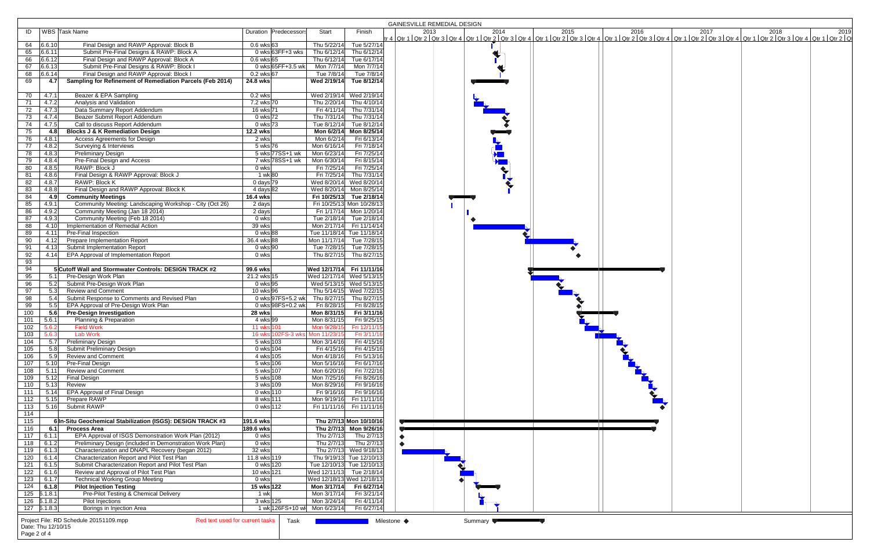|                                         |                                                                             |                                                                                                              |                        |                       |                                 |                                       | <b>GAINESVILLE REMEDIAL DESIGN</b>                                                                                                                                                                                               |  |  |  |  |
|-----------------------------------------|-----------------------------------------------------------------------------|--------------------------------------------------------------------------------------------------------------|------------------------|-----------------------|---------------------------------|---------------------------------------|----------------------------------------------------------------------------------------------------------------------------------------------------------------------------------------------------------------------------------|--|--|--|--|
|                                         | ID   WBS Task Name                                                          |                                                                                                              |                        | Duration Predecessors | Start                           | Finish                                | 1919 2013 2014 2015 2016 2017 2017 2018 2018 2019 2016 2017 2018 2018 2019 2016 2017 2018 2019 2018 2019 2016 2017<br>The superior of the City of Cate of the City of Cate of the City of City of City of City of City of City o |  |  |  |  |
| 64 6.6.10                               |                                                                             | Final Design and RAWP Approval: Block B                                                                      | $0.6$ wks 63           |                       | Thu 5/22/14                     | Tue 5/27/14                           |                                                                                                                                                                                                                                  |  |  |  |  |
| 65<br>6.6.11                            |                                                                             | Submit Pre-Final Designs & RAWP: Block A                                                                     |                        | 0 wks 63FF $+3$ wks   | Thu 6/12/14                     | Thu 6/12/14                           |                                                                                                                                                                                                                                  |  |  |  |  |
| 66<br>6.6.12                            |                                                                             | Final Design and RAWP Approval: Block A                                                                      | $0.6$ wks 65           |                       | Thu 6/12/14                     | Tue 6/17/14                           |                                                                                                                                                                                                                                  |  |  |  |  |
| 6.6.13<br>67                            |                                                                             | Submit Pre-Final Designs & RAWP: Block I                                                                     |                        | 0 wks 65FF+3.5 wk     | Mon 7/7/14                      | Mon 7/7/14                            |                                                                                                                                                                                                                                  |  |  |  |  |
| 6.6.14<br>68                            |                                                                             | Final Design and RAWP Approval: Block I                                                                      | $0.2$ wks 67           |                       | Tue 7/8/14                      | Tue 7/8/14                            |                                                                                                                                                                                                                                  |  |  |  |  |
| 69                                      | 4.7                                                                         | Sampling for Refinement of Remediation Parcels (Feb 2014)                                                    | 24.8 wks               |                       | Wed 2/19/14                     | Tue 8/12/14                           |                                                                                                                                                                                                                                  |  |  |  |  |
|                                         |                                                                             |                                                                                                              |                        |                       |                                 |                                       |                                                                                                                                                                                                                                  |  |  |  |  |
| 4.7.1<br>70                             |                                                                             | Beazer & EPA Sampling                                                                                        | $0.2$ wks              |                       |                                 | Wed 2/19/14 Wed 2/19/14               |                                                                                                                                                                                                                                  |  |  |  |  |
| 71<br>4.7.2                             |                                                                             | Analysis and Validation                                                                                      | 7.2 wks 70             |                       | Thu 2/20/14                     | Thu 4/10/14                           |                                                                                                                                                                                                                                  |  |  |  |  |
| 72<br>4.7.3                             |                                                                             | Data Summary Report Addendum                                                                                 | 16 wks 71              |                       | Fri 4/11/14                     | Thu 7/31/14                           |                                                                                                                                                                                                                                  |  |  |  |  |
| 73<br>4.7.4                             |                                                                             | Beazer Submit Report Addendum                                                                                | 0 wks 72               |                       | Thu 7/31/14                     | Thu 7/31/14                           |                                                                                                                                                                                                                                  |  |  |  |  |
| 74<br>4.7.5                             |                                                                             | Call to discuss Report Addendum                                                                              | 0 wks 73               |                       | Tue 8/12/14                     | Tue 8/12/14                           |                                                                                                                                                                                                                                  |  |  |  |  |
| 75                                      | 4.8                                                                         | <b>Blocks J &amp; K Remediation Design</b>                                                                   | 12.2 wks<br>2 wks      |                       | Mon 6/2/14                      | Mon 6/2/14 Mon 8/25/14<br>Fri 6/13/14 |                                                                                                                                                                                                                                  |  |  |  |  |
| 76<br>4.8.1<br>$\overline{77}$<br>4.8.2 |                                                                             | Access Agreements for Design<br>Surveying & Interviews                                                       | 5 wks 76               |                       | Mon 6/16/14                     | Fri 7/18/14                           |                                                                                                                                                                                                                                  |  |  |  |  |
| 78<br>4.8.3                             |                                                                             | <b>Preliminary Design</b>                                                                                    |                        | 5 wks 77SS+1 wk       | Mon 6/23/14                     | Fri 7/25/14                           |                                                                                                                                                                                                                                  |  |  |  |  |
| 79<br>4.8.4                             |                                                                             | Pre-Final Design and Access                                                                                  |                        | 7 wks 78SS+1 wk       | Mon 6/30/14                     | Fri 8/15/14                           |                                                                                                                                                                                                                                  |  |  |  |  |
| 80<br>4.8.5                             |                                                                             | RAWP: Block J                                                                                                | 0 wks                  |                       | Fri 7/25/14                     | Fri 7/25/14                           |                                                                                                                                                                                                                                  |  |  |  |  |
| 4.8.6<br>81                             |                                                                             | Final Design & RAWP Approval: Block J                                                                        | 1 wk 80                |                       | Fri 7/25/14                     | Thu 7/31/14                           |                                                                                                                                                                                                                                  |  |  |  |  |
| 82<br>4.8.7                             |                                                                             | RAWP: Block K                                                                                                | 0 days $79$            |                       | Wed 8/20/14                     | Wed 8/20/14                           |                                                                                                                                                                                                                                  |  |  |  |  |
| 4.8.8<br>83                             |                                                                             | Final Design and RAWP Approval: Block K                                                                      | 4 days 82              |                       | Wed 8/20/14                     | Mon 8/25/14                           |                                                                                                                                                                                                                                  |  |  |  |  |
| 84                                      | 4.9                                                                         | <b>Community Meetings</b>                                                                                    | 16.4 wks               |                       |                                 | Fri 10/25/13 Tue 2/18/14              |                                                                                                                                                                                                                                  |  |  |  |  |
| 85<br>4.9.1                             |                                                                             | Community Meeting: Landscaping Workshop - City (Oct 26)                                                      | 2 days                 |                       |                                 | Fri 10/25/13 Mon 10/28/13             |                                                                                                                                                                                                                                  |  |  |  |  |
| 86<br>4.9.2                             |                                                                             | Community Meeting (Jan 18 2014)                                                                              | 2 days                 |                       | Fri 1/17/14                     | Mon 1/20/14                           |                                                                                                                                                                                                                                  |  |  |  |  |
| 4.9.3<br>87                             |                                                                             | Community Meeting (Feb 18 2014)                                                                              | 0 wks                  |                       | Tue 2/18/14                     | Tue 2/18/14                           |                                                                                                                                                                                                                                  |  |  |  |  |
| 88                                      | 4.10                                                                        | Implementation of Remedial Action                                                                            | 39 wks                 |                       | Mon 2/17/14                     | Fri 11/14/14                          |                                                                                                                                                                                                                                  |  |  |  |  |
| 89                                      | 4.11                                                                        | Pre-Final Inspection                                                                                         | 0 wks 88               |                       | Tue 11/18/14 Tue 11/18/14       |                                       |                                                                                                                                                                                                                                  |  |  |  |  |
| 90                                      | 4.12                                                                        | Prepare Implementation Report                                                                                | 36.4 wks 88            |                       | Mon 11/17/14                    | Tue 7/28/15                           |                                                                                                                                                                                                                                  |  |  |  |  |
| 91<br>92                                | 4.13<br>4.14                                                                | Submit Implementation Report<br>EPA Approval of Implementation Report                                        | 0 wks 90<br>0 wks      |                       | Tue 7/28/15<br>Thu 8/27/15      | Tue 7/28/15<br>Thu 8/27/15            |                                                                                                                                                                                                                                  |  |  |  |  |
| 93                                      |                                                                             |                                                                                                              |                        |                       |                                 |                                       |                                                                                                                                                                                                                                  |  |  |  |  |
| 94                                      |                                                                             | 5 Cutoff Wall and Stormwater Controls: DESIGN TRACK #2                                                       | 99.6 wks               |                       | Wed 12/17/14 Fri 11/11/16       |                                       |                                                                                                                                                                                                                                  |  |  |  |  |
| 95                                      | 5.1                                                                         | Pre-Design Work Plan                                                                                         | 21.2 wks 15            |                       | Wed 12/17/14 Wed 5/13/15        |                                       |                                                                                                                                                                                                                                  |  |  |  |  |
| 96                                      | 5.2                                                                         | Submit Pre-Design Work Plan                                                                                  | $0$ wks 95             |                       |                                 | Wed 5/13/15 Wed 5/13/15               |                                                                                                                                                                                                                                  |  |  |  |  |
| 97                                      | 5.3                                                                         | <b>Review and Comment</b>                                                                                    | 10 wks 96              |                       | Thu 5/14/15                     | Wed 7/22/15                           |                                                                                                                                                                                                                                  |  |  |  |  |
| 98                                      | 5.4                                                                         | Submit Response to Comments and Revised Plan                                                                 |                        |                       | 0 wks 97FS+5.2 wk Thu 8/27/15   | Thu 8/27/15                           |                                                                                                                                                                                                                                  |  |  |  |  |
| 99                                      | 5.5                                                                         | EPA Approval of Pre-Design Work Plan                                                                         |                        | 0 wks 98FS+0.2 wk     | Fri 8/28/15                     | Fri 8/28/15                           |                                                                                                                                                                                                                                  |  |  |  |  |
| 100                                     | 5.6                                                                         | <b>Pre-Design Investigation</b>                                                                              | 28 wks                 |                       | Mon 8/31/15                     | Fri 3/11/16                           |                                                                                                                                                                                                                                  |  |  |  |  |
| 101<br>5.6.1                            |                                                                             | Planning & Preparation                                                                                       | 4 wks 99               |                       | Mon 8/31/15                     | Fri 9/25/15                           |                                                                                                                                                                                                                                  |  |  |  |  |
| 102<br>5.6.2                            | <b>Field Work</b>                                                           |                                                                                                              | 11 wks 101             |                       | Mon 9/28/15                     | Fri 12/11/15                          |                                                                                                                                                                                                                                  |  |  |  |  |
| 103<br>5.6.3                            | <b>Lab Work</b>                                                             |                                                                                                              |                        |                       | 16 wks 102FS-3 wks Mon 11/23/15 | Fri 3/11/16                           |                                                                                                                                                                                                                                  |  |  |  |  |
| 104                                     | 5.7                                                                         | <b>Preliminary Design</b>                                                                                    | 5 wks 103              |                       | Mon 3/14/16                     | Fri 4/15/16                           |                                                                                                                                                                                                                                  |  |  |  |  |
| 105<br>106                              | 5.8<br>5.9                                                                  | <b>Submit Preliminary Design</b><br><b>Review and Comment</b>                                                | 0 wks 104<br>4 wks 105 |                       | Fri 4/15/16<br>Mon 4/18/16      | Fri 4/15/16<br>Fri 5/13/16            |                                                                                                                                                                                                                                  |  |  |  |  |
| 107                                     | 5.10 Pre-Final Design                                                       |                                                                                                              | 5 wks 106              |                       | Mon 5/16/16                     | Fri 6/17/16                           |                                                                                                                                                                                                                                  |  |  |  |  |
| 108                                     | 5.11                                                                        | Review and Comment                                                                                           | 5 wks 107              |                       | Mon 6/20/16                     | Fri 7/22/16                           |                                                                                                                                                                                                                                  |  |  |  |  |
| 109                                     | 5.12<br>Final Design                                                        |                                                                                                              | 5 wks 108              |                       | Mon 7/25/16                     | Fri 8/26/16                           |                                                                                                                                                                                                                                  |  |  |  |  |
| 110                                     | Review<br>5.13                                                              |                                                                                                              | 3 wks 109              |                       | Mon 8/29/16                     | Fri 9/16/16                           |                                                                                                                                                                                                                                  |  |  |  |  |
| 111                                     | 5.14                                                                        | EPA Approval of Final Design                                                                                 | 0 wks 110              |                       | Fri 9/16/16                     | Fri 9/16/16                           |                                                                                                                                                                                                                                  |  |  |  |  |
| 112                                     | Prepare RAWP<br>5.15                                                        |                                                                                                              | 8 wks 111              |                       | Mon 9/19/16                     | Fri 11/11/16                          |                                                                                                                                                                                                                                  |  |  |  |  |
| 113                                     | 5.16 Submit RAWP                                                            |                                                                                                              | 0 wks 112              |                       |                                 | Fri 11/11/16 Fri 11/11/16             |                                                                                                                                                                                                                                  |  |  |  |  |
| $\frac{114}{ }$                         |                                                                             |                                                                                                              |                        |                       |                                 |                                       |                                                                                                                                                                                                                                  |  |  |  |  |
| 115                                     |                                                                             | 6 In-Situ Geochemical Stabilization (ISGS): DESIGN TRACK #3                                                  | <b>191.6 wks</b>       |                       |                                 | Thu 2/7/13 Mon 10/10/16               |                                                                                                                                                                                                                                  |  |  |  |  |
| 116                                     | 6.1 Process Area                                                            |                                                                                                              | 189.6 wks              |                       |                                 | Thu 2/7/13 Mon 9/26/16                |                                                                                                                                                                                                                                  |  |  |  |  |
| 117<br>6.1.1                            |                                                                             | EPA Approval of ISGS Demonstration Work Plan (2012)                                                          | 0 wks                  |                       | Thu 2/7/13                      | Thu 2/7/13                            |                                                                                                                                                                                                                                  |  |  |  |  |
| 118<br>6.1.2<br>6.1.3                   |                                                                             | Preliminary Design (included in Demonstration Work Plan)<br>Characterization and DNAPL Recovery (began 2012) | 0 wks<br>32 wks        |                       | Thu 2/7/13                      | Thu 2/7/13<br>Thu 2/7/13 Wed 9/18/13  |                                                                                                                                                                                                                                  |  |  |  |  |
| 119  <br>120<br>6.1.4                   |                                                                             | Characterization Report and Pilot Test Plan                                                                  | 11.8 wks 119           |                       |                                 | Thu 9/19/13 Tue 12/10/13              |                                                                                                                                                                                                                                  |  |  |  |  |
| 121<br>6.1.5                            |                                                                             | Submit Characterization Report and Pilot Test Plan                                                           | 0 wks 120              |                       |                                 | Tue 12/10/13 Tue 12/10/13             |                                                                                                                                                                                                                                  |  |  |  |  |
| 122<br>6.1.6                            |                                                                             | Review and Approval of Pilot Test Plan                                                                       | 10 wks 121             |                       | Wed 12/11/13 Tue 2/18/14        |                                       |                                                                                                                                                                                                                                  |  |  |  |  |
| 123<br>6.1.7                            |                                                                             | <b>Technical Working Group Meeting</b>                                                                       | 0 wks                  |                       |                                 | Wed 12/18/13 Wed 12/18/13             |                                                                                                                                                                                                                                  |  |  |  |  |
| 124<br>6.1.8                            |                                                                             | <b>Pilot Injection Testing</b>                                                                               | 15 wks 122             |                       | Mon 3/17/14                     | Fri 6/27/14                           |                                                                                                                                                                                                                                  |  |  |  |  |
| $125$ $5.1.8.1$                         |                                                                             | Pre-Pilot Testing & Chemical Delivery                                                                        | 1 wk                   |                       | Mon 3/17/14                     | Fri 3/21/14                           |                                                                                                                                                                                                                                  |  |  |  |  |
| $126$ $3.1.8.2$                         |                                                                             | Pilot Injections                                                                                             | 3 wks 125              |                       | Mon 3/24/14                     | Fri 4/11/14                           |                                                                                                                                                                                                                                  |  |  |  |  |
| $127$ $ 5.1.8.3 $                       |                                                                             | Borings in Injection Area                                                                                    |                        |                       | 1 wk 126FS+10 wl Mon 6/23/14    | Fri 6/27/14                           |                                                                                                                                                                                                                                  |  |  |  |  |
|                                         |                                                                             | Red text used for current tasks                                                                              |                        | Task                  |                                 |                                       | Summary                                                                                                                                                                                                                          |  |  |  |  |
|                                         | Project File: RD Schedule 20151109.mpp<br>Milestone ◆<br>Date: Thu 12/10/15 |                                                                                                              |                        |                       |                                 |                                       |                                                                                                                                                                                                                                  |  |  |  |  |
| Page 2 of 4                             |                                                                             |                                                                                                              |                        |                       |                                 |                                       |                                                                                                                                                                                                                                  |  |  |  |  |
|                                         |                                                                             |                                                                                                              |                        |                       |                                 |                                       |                                                                                                                                                                                                                                  |  |  |  |  |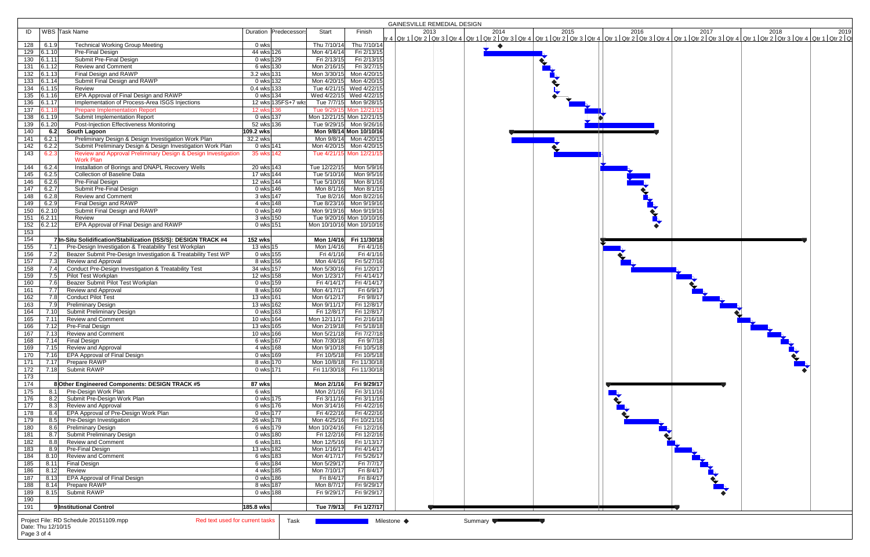|                             |                                                                           |                        |              |                           | GAINESVILLE REMEDIAL DESIGN                                                                                                                                                                                                          |
|-----------------------------|---------------------------------------------------------------------------|------------------------|--------------|---------------------------|--------------------------------------------------------------------------------------------------------------------------------------------------------------------------------------------------------------------------------------|
| ID                          | WBS Task Name                                                             | Duration Predecessors  | Start        | Finish                    | 2019 2013 2014 2015 2016 2017 2017 2018 2018 2019<br>tr 4 Qtr 1   Qtr 2   Qtr 3   Qtr 4   Qtr 1   Qtr 2   Qtr 3   Qtr 4   Qtr 1   Qtr 2   Qtr 3   Qtr 4   Qtr 1   Qt<br>tr 1   Qtr 2   Qtr 3   Qtr 4   Qtr 1   Qtr 2   Qtr 3   Qtr 4 |
|                             |                                                                           |                        |              |                           |                                                                                                                                                                                                                                      |
| 128<br>6.1.9                | <b>Technical Working Group Meeting</b>                                    | 0 wks                  | Thu 7/10/14  | Thu 7/10/14               | $\bullet$                                                                                                                                                                                                                            |
| 129 6.1.10                  | Pre-Final Design                                                          | 44 wks 126             | Mon 4/14/14  | Fri 2/13/15               |                                                                                                                                                                                                                                      |
| $130$ 6.1.11                | Submit Pre-Final Design                                                   | 0 wks 129              | Fri 2/13/15  | Fri 2/13/15               |                                                                                                                                                                                                                                      |
| 131<br>6.1.12               | <b>Review and Comment</b>                                                 | 6 wks 130              | Mon 2/16/15  | Fri 3/27/15               |                                                                                                                                                                                                                                      |
| 132 6.1.13                  | Final Design and RAWP                                                     | 3.2 wks 131            | Mon 3/30/15  | Mon 4/20/15               |                                                                                                                                                                                                                                      |
| 133 6.1.14                  | Submit Final Design and RAWP                                              | 0 wks 132              | Mon 4/20/15  | Mon 4/20/15               |                                                                                                                                                                                                                                      |
| 134   6.1.15                | Review                                                                    | $0.4 \text{ wks}$ 133  |              | Tue 4/21/15 Wed 4/22/15   |                                                                                                                                                                                                                                      |
| 135 6.1.16                  | EPA Approval of Final Design and RAWP                                     | 0 wks 134              | Wed 4/22/15  | Wed 4/22/15               |                                                                                                                                                                                                                                      |
| 136 6.1.17                  | Implementation of Process-Area ISGS Injections                            | 12 wks 135FS+7 wks     | Tue 7/7/15   | Mon 9/28/15               |                                                                                                                                                                                                                                      |
| 137<br>6.1.18               | <b>Prepare Implementation Report</b>                                      | 12 wks 136             |              | Tue 9/29/15 Mon 12/21/15  |                                                                                                                                                                                                                                      |
| $138$ 6.1.19                | Submit Implementation Report                                              | 0 wks 137              |              | Mon 12/21/15 Mon 12/21/15 |                                                                                                                                                                                                                                      |
| $139$ 6.1.20                | Post-Injection Effectiveness Monitoring                                   | 52 wks 136             |              | Tue 9/29/15 Mon 9/26/16   |                                                                                                                                                                                                                                      |
| 140<br>6.2                  | South Lagoon                                                              | 109.2 wks              |              | Mon 9/8/14 Mon 10/10/16   |                                                                                                                                                                                                                                      |
| 6.2.1<br>141                | Preliminary Design & Design Investigation Work Plan                       | 32.2 wks               |              | Mon 9/8/14 Mon 4/20/15    |                                                                                                                                                                                                                                      |
| 142<br>6.2.2                | Submit Preliminary Design & Design Investigation Work Plan                | 0 wks 141              |              | Mon 4/20/15 Mon 4/20/15   |                                                                                                                                                                                                                                      |
| 143<br>6.2.3                | Review and Approval Preliminary Design & Design Investigation             | 35 wks 142             |              | Tue 4/21/15 Mon 12/21/15  |                                                                                                                                                                                                                                      |
|                             | <b>Work Plan</b>                                                          |                        |              |                           |                                                                                                                                                                                                                                      |
| 6.2.4<br>144                | Installation of Borings and DNAPL Recovery Wells                          | 20 wks 143             | Tue 12/22/15 | Mon 5/9/16                |                                                                                                                                                                                                                                      |
| $\overline{145}$<br>6.2.5   | <b>Collection of Baseline Data</b>                                        | 17 wks 144             | Tue 5/10/16  | Mon 9/5/16                |                                                                                                                                                                                                                                      |
| 146<br>6.2.6                | Pre-Final Design                                                          | 12 wks 144             | Tue 5/10/16  | Mon 8/1/16                |                                                                                                                                                                                                                                      |
| 147<br>6.2.7                | Submit Pre-Final Design                                                   | 0 wks 146              | Mon 8/1/16   | Mon 8/1/16                |                                                                                                                                                                                                                                      |
| 148<br>6.2.8                | <b>Review and Comment</b>                                                 | $3 wks$ <sup>147</sup> | Tue 8/2/16   | Mon 8/22/16               |                                                                                                                                                                                                                                      |
| 6.2.9<br>149                | Final Design and RAWP                                                     | 4 wks 148              | Tue 8/23/16  | Mon 9/19/16               |                                                                                                                                                                                                                                      |
| $150$ 6.2.10                | Submit Final Design and RAWP                                              | 0 wks 149              |              | Mon 9/19/16 Mon 9/19/16   |                                                                                                                                                                                                                                      |
| 151<br>$\sqrt{6.2.11}$      | Review                                                                    | 3 wks 150              |              | Tue 9/20/16 Mon 10/10/16  |                                                                                                                                                                                                                                      |
| $\vert 6.2.12 \vert$<br>152 | EPA Approval of Final Design and RAWP                                     | 0 wks 151              |              | Mon 10/10/16 Mon 10/10/16 |                                                                                                                                                                                                                                      |
| 153                         |                                                                           |                        |              |                           |                                                                                                                                                                                                                                      |
| 154                         | 7 In-Situ Solidification/Stabilization (ISS/S): DESIGN TRACK #4           | 152 wks                |              | Mon 1/4/16 Fri 11/30/18   |                                                                                                                                                                                                                                      |
| $\overline{155}$<br>7.1     | Pre-Design Investigation & Treatability Test Workplan                     | 13 wks 15              | Mon 1/4/16   | Fri 4/1/16                |                                                                                                                                                                                                                                      |
| 156<br>7.2                  | Beazer Submit Pre-Design Investigation & Treatability Test WP             | 0 wks 155              | Fri 4/1/16   | Fri 4/1/16                |                                                                                                                                                                                                                                      |
| 157<br>7.3                  | Review and Approval                                                       | 8 wks 156              | Mon 4/4/16   | Fri 5/27/16               |                                                                                                                                                                                                                                      |
| 158<br>7.4                  | Conduct Pre-Design Investigation & Treatability Test                      | 34 wks 157             | Mon 5/30/16  | Fri 1/20/17               |                                                                                                                                                                                                                                      |
| 159<br>7.5                  | Pilot Test Workplan                                                       | 12 wks 158             | Mon 1/23/17  | Fri 4/14/17               |                                                                                                                                                                                                                                      |
| 160<br>7.6                  | Beazer Submit Pilot Test Workplan                                         | 0 wks 159              | Fri 4/14/17  | Fri 4/14/17               |                                                                                                                                                                                                                                      |
| 161<br>7.7                  | Review and Approval                                                       | 8 wks 160              | Mon 4/17/17  | Fri 6/9/17                |                                                                                                                                                                                                                                      |
| 162<br>7.8                  | Conduct Pilot Test                                                        | 13 wks 161             | Mon 6/12/17  | Fri 9/8/17                |                                                                                                                                                                                                                                      |
| 163<br>7.9                  | <b>Preliminary Design</b>                                                 | $13$ wks $162$         | Mon 9/11/17  | Fri 12/8/17               |                                                                                                                                                                                                                                      |
| 164<br>7.10                 | Submit Preliminary Design                                                 | 0 wks 163              | Fri 12/8/17  | Fri 12/8/17               |                                                                                                                                                                                                                                      |
| 165<br>7.11                 | <b>Review and Comment</b>                                                 | 10 wks 164             | Mon 12/11/17 | Fri 2/16/18               |                                                                                                                                                                                                                                      |
| 166<br>7.12                 | Pre-Final Design                                                          | 13 wks 165             | Mon 2/19/18  | Fri 5/18/18               |                                                                                                                                                                                                                                      |
| 7.13<br>167                 | <b>Review and Comment</b>                                                 | 10 wks 166             | Mon 5/21/18  | Fri 7/27/18               |                                                                                                                                                                                                                                      |
| 7.14<br>168                 | Final Design                                                              | 6 wks 167              | Mon 7/30/18  | Fri 9/7/18                |                                                                                                                                                                                                                                      |
| 169<br>7.15                 | Review and Approval                                                       | 4 wks 168              | Mon 9/10/18  | Fri 10/5/18               |                                                                                                                                                                                                                                      |
| 170                         | 7.16 EPA Approval of Final Design                                         | 0 wks 169              | Fri 10/5/18  | Fri 10/5/18               |                                                                                                                                                                                                                                      |
| 7.17<br>171                 | Prepare RAWP                                                              | 8 wks 170              | Mon 10/8/18  | Fri 11/30/18              |                                                                                                                                                                                                                                      |
| 172                         | 7.18 Submit RAWP                                                          | 0 wks 171              |              | Fri 11/30/18 Fri 11/30/18 |                                                                                                                                                                                                                                      |
| 173                         |                                                                           |                        |              |                           |                                                                                                                                                                                                                                      |
| $\frac{174}{ }$             | 8 Other Engineered Components: DESIGN TRACK #5                            | 87 wks                 | Mon 2/1/16   | Fri 9/29/17               |                                                                                                                                                                                                                                      |
| 175                         | 8.1 Pre-Design Work Plan                                                  | 6 wks                  | Mon 2/1/16   | Fri 3/11/16               |                                                                                                                                                                                                                                      |
| 176                         |                                                                           |                        |              | Fri 3/11/16               |                                                                                                                                                                                                                                      |
|                             | 8.2 Submit Pre-Design Work Plan                                           | 0 wks 175              | Fri 3/11/16  | Fri 4/22/16               |                                                                                                                                                                                                                                      |
| 177<br>8.3                  | Review and Approval                                                       | 6 wks 176              | Mon 3/14/16  |                           |                                                                                                                                                                                                                                      |
| 178<br>8.4                  | EPA Approval of Pre-Design Work Plan                                      | 0 wks 177              | Fri 4/22/16  | Fri 4/22/16               |                                                                                                                                                                                                                                      |
| 179<br>8.5                  | Pre-Design Investigation                                                  | 26 wks 178             | Mon 4/25/16  | Fri 10/21/16              |                                                                                                                                                                                                                                      |
| 180<br>8.6                  | <b>Preliminary Design</b>                                                 | 6 wks 179              | Mon 10/24/16 | Fri 12/2/16               |                                                                                                                                                                                                                                      |
| 181<br>8.7                  | Submit Preliminary Design                                                 | 0 wks 180              | Fri 12/2/16  | Fri 12/2/16               |                                                                                                                                                                                                                                      |
| $\overline{182}$<br>8.8     | <b>Review and Comment</b>                                                 | 6 wks 181              | Mon 12/5/16  | Fri 1/13/17               |                                                                                                                                                                                                                                      |
| 183<br>8.9                  | Pre-Final Design                                                          | 13 wks 182             | Mon 1/16/17  | Fri 4/14/17               |                                                                                                                                                                                                                                      |
| 184<br>8.10                 | <b>Review and Comment</b>                                                 | 6 wks 183              | Mon 4/17/17  | Fri 5/26/17               |                                                                                                                                                                                                                                      |
| $\frac{185}{ }$<br>8.11     | Final Design                                                              | 6 wks 184              | Mon 5/29/17  | Fri 7/7/17                |                                                                                                                                                                                                                                      |
| 186<br>8.12                 | Review                                                                    | 4 wks 185              | Mon 7/10/17  | Fri 8/4/17                |                                                                                                                                                                                                                                      |
| 187<br>8.13                 | EPA Approval of Final Design                                              | 0 wks 186              | Fri 8/4/17   | Fri 8/4/17                |                                                                                                                                                                                                                                      |
| 188<br>8.14                 | Prepare RAWP                                                              | 8 wks 187              | Mon 8/7/17   | Fri 9/29/17               |                                                                                                                                                                                                                                      |
| 189                         | 8.15 Submit RAWP                                                          | 0 wks 188              | Fri 9/29/17  | Fri 9/29/17               |                                                                                                                                                                                                                                      |
| 190                         |                                                                           |                        |              |                           |                                                                                                                                                                                                                                      |
| 191                         | 9 Institutional Control                                                   | 185.8 wks              |              | Tue 7/9/13   Fri 1/27/17  |                                                                                                                                                                                                                                      |
|                             | Project File: RD Schedule 20151109.mpp<br>Red text used for current tasks | Task                   |              |                           | Milestone ◆                                                                                                                                                                                                                          |
| Date: Thu 12/10/15          |                                                                           |                        |              |                           | Summary                                                                                                                                                                                                                              |
| Page 3 of 4                 |                                                                           |                        |              |                           |                                                                                                                                                                                                                                      |
|                             |                                                                           |                        |              |                           |                                                                                                                                                                                                                                      |